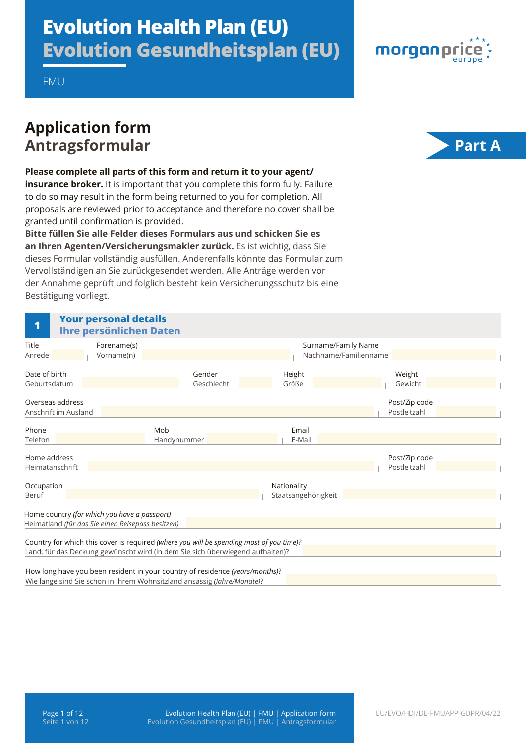# **Evolution Health Plan (EU) Evolution Gesundheitsplan (EU)**



FMU

## **Application form**  Antragsformular **Part A**



**Please complete all parts of this form and return it to your agent/ insurance broker.** It is important that you complete this form fully. Failure

to do so may result in the form being returned to you for completion. All proposals are reviewed prior to acceptance and therefore no cover shall be granted until confirmation is provided.

**Bitte füllen Sie alle Felder dieses Formulars aus und schicken Sie es an Ihren Agenten/Versicherungsmakler zurück.** Es ist wichtig, dass Sie dieses Formular vollständig ausfüllen. Anderenfalls könnte das Formular zum Vervollständigen an Sie zurückgesendet werden. Alle Anträge werden vor der Annahme geprüft und folglich besteht kein Versicherungsschutz bis eine Bestätigung vorliegt.

| 1                                        | <b>Your personal details</b><br><b>Ihre persönlichen Daten</b>                                    |                                                                                                                                                                          |                                    |                                              |                               |  |
|------------------------------------------|---------------------------------------------------------------------------------------------------|--------------------------------------------------------------------------------------------------------------------------------------------------------------------------|------------------------------------|----------------------------------------------|-------------------------------|--|
| <b>Title</b><br>Anrede                   | Forename(s)<br>Vorname(n)                                                                         |                                                                                                                                                                          |                                    | Surname/Family Name<br>Nachname/Familienname |                               |  |
| Date of birth<br>Geburtsdatum            |                                                                                                   | Gender<br>Geschlecht                                                                                                                                                     | Height<br>Größe                    |                                              | Weight<br>Gewicht             |  |
| Overseas address<br>Anschrift im Ausland |                                                                                                   |                                                                                                                                                                          |                                    |                                              | Post/Zip code<br>Postleitzahl |  |
| Phone<br>Telefon                         | Mob                                                                                               | Handynummer                                                                                                                                                              | Email<br>E-Mail                    |                                              |                               |  |
| Home address<br>Heimatanschrift          |                                                                                                   |                                                                                                                                                                          |                                    |                                              | Post/Zip code<br>Postleitzahl |  |
| Occupation<br>Beruf                      |                                                                                                   |                                                                                                                                                                          | Nationality<br>Staatsangehörigkeit |                                              |                               |  |
|                                          | Home country (for which you have a passport)<br>Heimatland (für das Sie einen Reisepass besitzen) |                                                                                                                                                                          |                                    |                                              |                               |  |
|                                          |                                                                                                   | Country for which this cover is required (where you will be spending most of you time)?<br>Land, für das Deckung gewünscht wird (in dem Sie sich überwiegend aufhalten)? |                                    |                                              |                               |  |
|                                          |                                                                                                   | How long have you been resident in your country of residence (years/months)?<br>Wie lange sind Sie schon in Ihrem Wohnsitzland ansässig (Jahre/Monate)?                  |                                    |                                              |                               |  |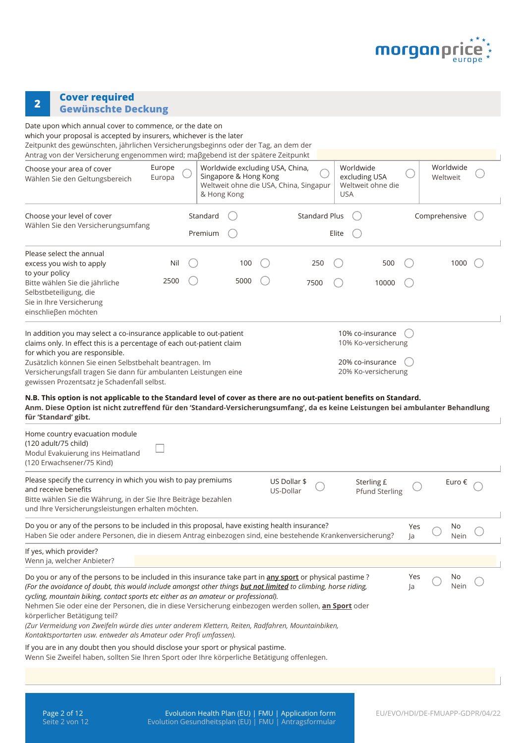

# **<sup>2</sup> Cover required Gewünschte Deckung**

| Date upon which annual cover to commence, or the date on<br>which your proposal is accepted by insurers, whichever is the later<br>Zeitpunkt des gewünschten, jährlichen Versicherungsbeginns oder der Tag, an dem der<br>Antrag von der Versicherung engenommen wird; maβgebend ist der spätere Zeitpunkt<br>Worldwide<br>Europe<br>Worldwide excluding USA, China,<br>Worldwide<br>Choose your area of cover<br>excluding USA<br>Singapore & Hong Kong<br>Europa<br>Weltweit<br>Wählen Sie den Geltungsbereich<br>Weltweit ohne die USA, China, Singapur<br>Weltweit ohne die<br><b>USA</b><br>& Hong Kong<br>Comprehensive<br>Choose your level of cover<br>Standard<br><b>Standard Plus</b><br>Wählen Sie den Versicherungsumfang<br>Premium<br>Elite<br>Please select the annual<br>excess you wish to apply<br>100<br>250<br>500<br>1000<br>Nil<br>to your policy<br>2500<br>5000<br>Bitte wählen Sie die jährliche<br>7500<br>10000<br>Selbstbeteiligung, die |
|----------------------------------------------------------------------------------------------------------------------------------------------------------------------------------------------------------------------------------------------------------------------------------------------------------------------------------------------------------------------------------------------------------------------------------------------------------------------------------------------------------------------------------------------------------------------------------------------------------------------------------------------------------------------------------------------------------------------------------------------------------------------------------------------------------------------------------------------------------------------------------------------------------------------------------------------------------------------|
|                                                                                                                                                                                                                                                                                                                                                                                                                                                                                                                                                                                                                                                                                                                                                                                                                                                                                                                                                                      |
|                                                                                                                                                                                                                                                                                                                                                                                                                                                                                                                                                                                                                                                                                                                                                                                                                                                                                                                                                                      |
|                                                                                                                                                                                                                                                                                                                                                                                                                                                                                                                                                                                                                                                                                                                                                                                                                                                                                                                                                                      |
|                                                                                                                                                                                                                                                                                                                                                                                                                                                                                                                                                                                                                                                                                                                                                                                                                                                                                                                                                                      |
|                                                                                                                                                                                                                                                                                                                                                                                                                                                                                                                                                                                                                                                                                                                                                                                                                                                                                                                                                                      |
| Sie in Ihre Versicherung<br>einschließen möchten                                                                                                                                                                                                                                                                                                                                                                                                                                                                                                                                                                                                                                                                                                                                                                                                                                                                                                                     |
| In addition you may select a co-insurance applicable to out-patient<br>10% co-insurance<br>claims only. In effect this is a percentage of each out-patient claim<br>10% Ko-versicherung<br>for which you are responsible.<br>20% co-insurance<br>Zusätzlich können Sie einen Selbstbehalt beantragen. Im<br>20% Ko-versicherung<br>Versicherungsfall tragen Sie dann für ambulanten Leistungen eine<br>gewissen Prozentsatz je Schadenfall selbst.                                                                                                                                                                                                                                                                                                                                                                                                                                                                                                                   |
| N.B. This option is not applicable to the Standard level of cover as there are no out-patient benefits on Standard.<br>Anm. Diese Option ist nicht zutreffend für den 'Standard-Versicherungsumfang', da es keine Leistungen bei ambulanter Behandlung<br>für 'Standard' gibt.                                                                                                                                                                                                                                                                                                                                                                                                                                                                                                                                                                                                                                                                                       |
| Home country evacuation module<br>(120 adult/75 child)<br>Modul Evakuierung ins Heimatland<br>(120 Erwachsener/75 Kind)                                                                                                                                                                                                                                                                                                                                                                                                                                                                                                                                                                                                                                                                                                                                                                                                                                              |
| Please specify the currency in which you wish to pay premiums<br>US Dollar \$<br>Sterling £<br>Euro €<br>and receive benefits<br>US-Dollar<br><b>Pfund Sterling</b><br>Bitte wählen Sie die Währung, in der Sie Ihre Beiträge bezahlen<br>und Ihre Versicherungsleistungen erhalten möchten.                                                                                                                                                                                                                                                                                                                                                                                                                                                                                                                                                                                                                                                                         |
| Do you or any of the persons to be included in this proposal, have existing health insurance?<br>No<br>Yes<br>Haben Sie oder andere Personen, die in diesem Antrag einbezogen sind, eine bestehende Krankenversicherung?<br>Nein<br>Ja                                                                                                                                                                                                                                                                                                                                                                                                                                                                                                                                                                                                                                                                                                                               |
| If yes, which provider?<br>Wenn ja, welcher Anbieter?                                                                                                                                                                                                                                                                                                                                                                                                                                                                                                                                                                                                                                                                                                                                                                                                                                                                                                                |
| Do you or any of the persons to be included in this insurance take part in any sport or physical pastime?<br>No<br>Yes<br>(For the avoidance of doubt, this would include amongst other things <b>but not limited</b> to climbing, horse riding,<br>Nein<br>Ja<br>cycling, mountain biking, contact sports etc either as an amateur or professional).<br>Nehmen Sie oder eine der Personen, die in diese Versicherung einbezogen werden sollen, an Sport oder<br>körperlicher Betätigung teil?<br>(Zur Vermeidung von Zweifeln würde dies unter anderem Klettern, Reiten, Radfahren, Mountainbiken,<br>Kontaktsportarten usw. entweder als Amateur oder Profi umfassen).                                                                                                                                                                                                                                                                                             |
| If you are in any doubt then you should disclose your sport or physical pastime.<br>Wenn Sie Zweifel haben, sollten Sie Ihren Sport oder Ihre körperliche Betätigung offenlegen.                                                                                                                                                                                                                                                                                                                                                                                                                                                                                                                                                                                                                                                                                                                                                                                     |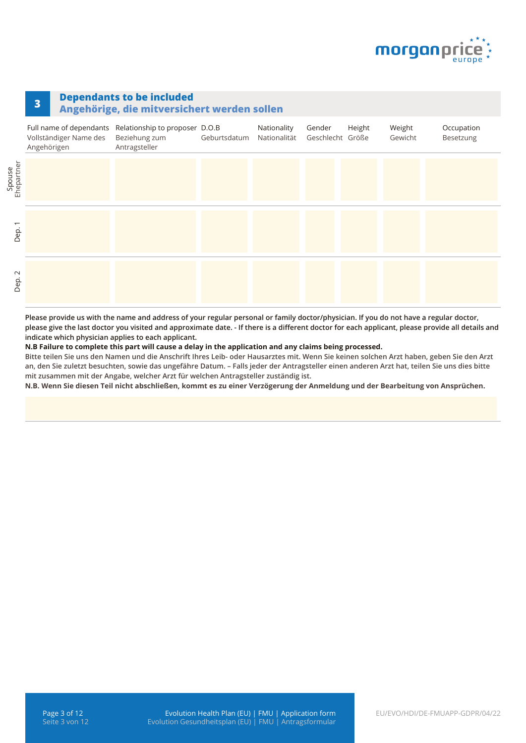

## **<sup>3</sup> Dependants to be included**

#### **Angehörige, die mitversichert werden sollen**

|                                  | Full name of dependants Relationship to proposer D.O.B<br>Vollständiger Name des<br>Angehörigen | Beziehung zum Geburtsdatum<br>Antragsteller | Nationality<br>Nationalität | Gender<br>Geschlecht Größe | Height | Weight<br>Gewicht | Occupation<br>Besetzung |
|----------------------------------|-------------------------------------------------------------------------------------------------|---------------------------------------------|-----------------------------|----------------------------|--------|-------------------|-------------------------|
| Ehepartner                       |                                                                                                 |                                             |                             |                            |        |                   |                         |
| $\overline{\phantom{0}}$<br>Dep. |                                                                                                 |                                             |                             |                            |        |                   |                         |
| $\sim$<br>Dep.                   |                                                                                                 |                                             |                             |                            |        |                   |                         |

**Please provide us with the name and address of your regular personal or family doctor/physician. If you do not have a regular doctor, please give the last doctor you visited and approximate date. - If there is a different doctor for each applicant, please provide all details and indicate which physician applies to each applicant.**

**N.B Failure to complete this part will cause a delay in the application and any claims being processed.**

**Bitte teilen Sie uns den Namen und die Anschrift Ihres Leib- oder Hausarztes mit. Wenn Sie keinen solchen Arzt haben, geben Sie den Arzt an, den Sie zuletzt besuchten, sowie das ungefähre Datum. – Falls jeder der Antragsteller einen anderen Arzt hat, teilen Sie uns dies bitte mit zusammen mit der Angabe, welcher Arzt für welchen Antragsteller zuständig ist.**

**N.B. Wenn Sie diesen Teil nicht abschließen, kommt es zu einer Verzögerung der Anmeldung und der Bearbeitung von Ansprüchen.**

Spouse<br>Ebonation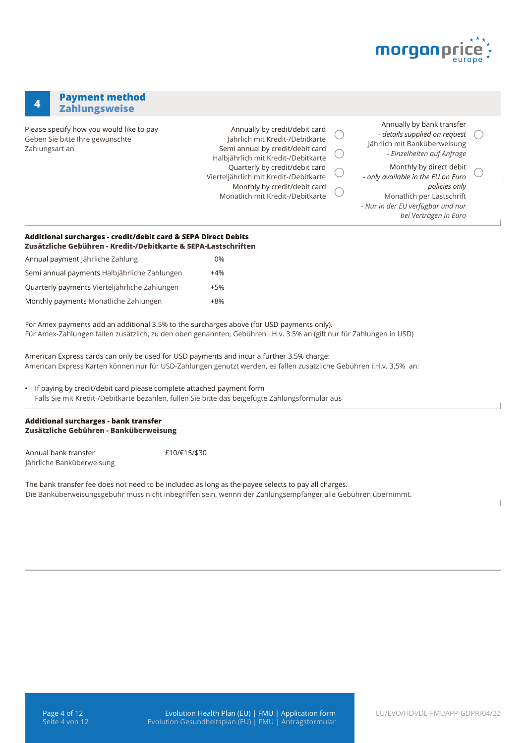

### **<sup>4</sup> Payment method Zahlungsweise**

Please specify how you would like to pay Geben Sie bitte Ihre gewünschte Zahlungsart an

Annually by credit/debit card Jährlich mit Kredit-/Debitkarte Semi annual by credit/debit card Halbjährlich mit Kredit-/Debitkarte Quarterly by credit/debit card Vierteljährlich mit Kredit-/Debitkarte Monthly by credit/debit card Monatlich mit Kredit-/Debitkarte

| Annually by bank transfer     |  |
|-------------------------------|--|
| - details supplied on request |  |
| Jährlich mit Banküberweisung  |  |
| - Einzelheiten auf Anfrage    |  |
|                               |  |

Monthly by direct debit *- only available in the EU on Euro policies only* Monatlich per Lastschrift *- Nur in der EU verfügbar und nur bei Verträgen in Euro* 

#### **Additional surcharges - credit/debit card & SEPA Direct Debits Zusätzliche Gebühren - Kredit-/Debitkarte & SEPA-Lastschriften**

| <u> Lusalliliik Gebuilleil - Nieuil / Debilnaile &amp; Ser A-Laslsli</u> |       |
|--------------------------------------------------------------------------|-------|
| Annual payment lährliche Zahlung                                         | 0%    |
| Semi annual payments Halbjährliche Zahlungen                             | $+4%$ |
| Quarterly payments Vierteljährliche Zahlungen                            | $+5%$ |
| Monthly payments Monatliche Zahlungen                                    | $+8%$ |

For Amex payments add an additional 3.5% to the surcharges above (for USD payments only). Für Amex-Zahlungen fallen zusätzlich, zu den oben genannten, Gebühren i.H.v. 3.5% an (gilt nur für Zahlungen in USD)

American Express cards can only be used for USD payments and incur a further 3.5% charge: American Express Karten können nur für USD-Zahlungen genutzt werden, es fallen zusätzliche Gebühren i.H.v. 3.5% an:

• If paying by credit/debit card please complete attached payment form Falls Sie mit Kredit-/Debitkarte bezahlen, füllen Sie bitte das beigefügte Zahlungsformular aus

#### **Additional surcharges - bank transfer Zusätzliche Gebühren - Banküberweisung**

Annual bank transfer Jährliche Banküberweisung £10/€15/\$30

The bank transfer fee does not need to be included as long as the payee selects to pay all charges. Die Banküberweisungsgebühr muss nicht inbegriffen sein, wennn der Zahlungsempfänger alle Gebühren übernimmt.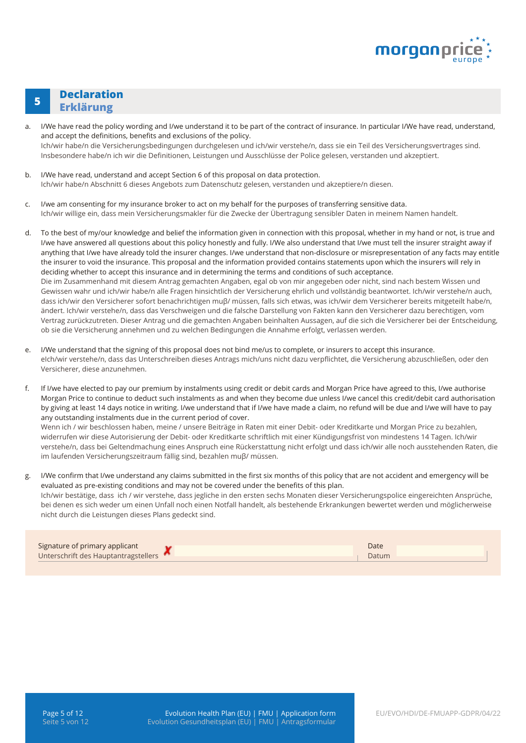

## **<sup>5</sup> Declaration Erklärung**

- a. I/We have read the policy wording and I/we understand it to be part of the contract of insurance. In particular I/We have read, understand, and accept the definitions, benefits and exclusions of the policy. Ich/wir habe/n die Versicherungsbedingungen durchgelesen und ich/wir verstehe/n, dass sie ein Teil des Versicherungsvertrages sind. Insbesondere habe/n ich wir die Definitionen, Leistungen und Ausschlüsse der Police gelesen, verstanden und akzeptiert.
- b. I/We have read, understand and accept Section 6 of this proposal on data protection. Ich/wir habe/n Abschnitt 6 dieses Angebots zum Datenschutz gelesen, verstanden und akzeptiere/n diesen.
- c. I/we am consenting for my insurance broker to act on my behalf for the purposes of transferring sensitive data. Ich/wir willige ein, dass mein Versicherungsmakler für die Zwecke der Übertragung sensibler Daten in meinem Namen handelt.
- d. To the best of my/our knowledge and belief the information given in connection with this proposal, whether in my hand or not, is true and I/we have answered all questions about this policy honestly and fully. I/We also understand that I/we must tell the insurer straight away if anything that I/we have already told the insurer changes. I/we understand that non-disclosure or misrepresentation of any facts may entitle the insurer to void the insurance. This proposal and the information provided contains statements upon which the insurers will rely in deciding whether to accept this insurance and in determining the terms and conditions of such acceptance. Die im Zusammenhand mit diesem Antrag gemachten Angaben, egal ob von mir angegeben oder nicht, sind nach bestem Wissen und Gewissen wahr und ich/wir habe/n alle Fragen hinsichtlich der Versicherung ehrlich und vollständig beantwortet. Ich/wir verstehe/n auch, dass ich/wir den Versicherer sofort benachrichtigen muβ/ müssen, falls sich etwas, was ich/wir dem Versicherer bereits mitgeteilt habe/n, ändert. Ich/wir verstehe/n, dass das Verschweigen und die falsche Darstellung von Fakten kann den Versicherer dazu berechtigen, vom Vertrag zurückzutreten. Dieser Antrag und die gemachten Angaben beinhalten Aussagen, auf die sich die Versicherer bei der Entscheidung, ob sie die Versicherung annehmen und zu welchen Bedingungen die Annahme erfolgt, verlassen werden.
- e. I/We understand that the signing of this proposal does not bind me/us to complete, or insurers to accept this insurance. eIch/wir verstehe/n, dass das Unterschreiben dieses Antrags mich/uns nicht dazu verpflichtet, die Versicherung abzuschließen, oder den Versicherer, diese anzunehmen.
- f. If I/we have elected to pay our premium by instalments using credit or debit cards and Morgan Price have agreed to this, I/we authorise Morgan Price to continue to deduct such instalments as and when they become due unless I/we cancel this credit/debit card authorisation by giving at least 14 days notice in writing. I/we understand that if I/we have made a claim, no refund will be due and I/we will have to pay any outstanding instalments due in the current period of cover.

Wenn ich / wir beschlossen haben, meine / unsere Beiträge in Raten mit einer Debit- oder Kreditkarte und Morgan Price zu bezahlen, widerrufen wir diese Autorisierung der Debit- oder Kreditkarte schriftlich mit einer Kündigungsfrist von mindestens 14 Tagen. Ich/wir verstehe/n, dass bei Geltendmachung eines Anspruch eine Rückerstattung nicht erfolgt und dass ich/wir alle noch ausstehenden Raten, die im laufenden Versicherungszeitraum fällig sind, bezahlen muβ/ müssen.

g. I/We confirm that I/we understand any claims submitted in the first six months of this policy that are not accident and emergency will be evaluated as pre-existing conditions and may not be covered under the benefits of this plan. Ich/wir bestätige, dass ich / wir verstehe, dass jegliche in den ersten sechs Monaten dieser Versicherungspolice eingereichten Ansprüche, bei denen es sich weder um einen Unfall noch einen Notfall handelt, als bestehende Erkrankungen bewertet werden und möglicherweise nicht durch die Leistungen dieses Plans gedeckt sind.

| Signature of primary applicant       | Date  |
|--------------------------------------|-------|
| Unterschrift des Hauptantragstellers | Datum |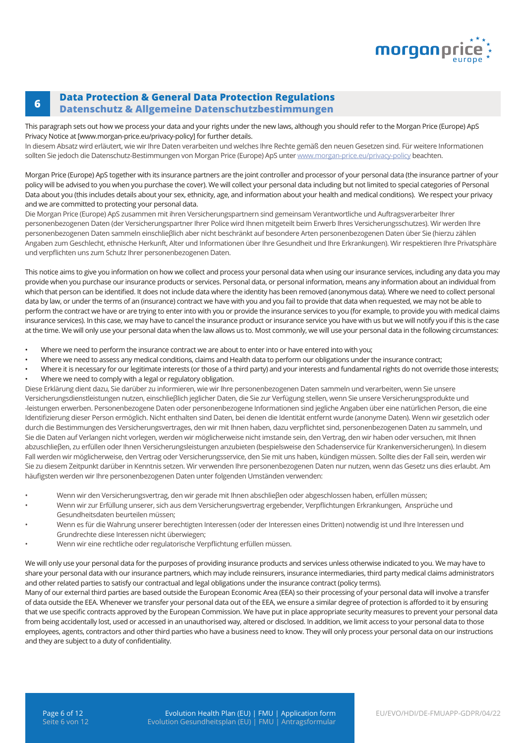

#### **<sup>6</sup> Data Protection & General Data Protection Regulations Datenschutz & Allgemeine Datenschutzbestimmungen**

This paragraph sets out how we process your data and your rights under the new laws, although you should refer to the Morgan Price (Europe) ApS Privacy Notice at [www.morgan-price.eu/privacy-policy] for further details.

In diesem Absatz wird erläutert, wie wir Ihre Daten verarbeiten und welches Ihre Rechte gemäß den neuen Gesetzen sind. Für weitere Informationen sollten Sie jedoch die Datenschutz-Bestimmungen von Morgan Price (Europe) ApS unter [www.morgan-price.eu/privacy-policy](http://www.morgan-price.com/privacy-policy) beachten.

Morgan Price (Europe) ApS together with its insurance partners are the joint controller and processor of your personal data (the insurance partner of your policy will be advised to you when you purchase the cover). We will collect your personal data including but not limited to special categories of Personal Data about you (this includes details about your sex, ethnicity, age, and information about your health and medical conditions). We respect your privacy and we are committed to protecting your personal data.

Die Morgan Price (Europe) ApS zusammen mit ihren Versicherungspartnern sind gemeinsam Verantwortliche und Auftragsverarbeiter Ihrer personenbezogenen Daten (der Versicherungspartner Ihrer Police wird Ihnen mitgeteilt beim Erwerb Ihres Versicherungsschutzes). Wir werden Ihre personenbezogenen Daten sammeln einschlieβlich aber nicht beschränkt auf besondere Arten personenbezogenen Daten über Sie (hierzu zählen Angaben zum Geschlecht, ethnische Herkunft, Alter und Informationen über Ihre Gesundheit und Ihre Erkrankungen). Wir respektieren Ihre Privatsphäre und verpflichten uns zum Schutz Ihrer personenbezogenen Daten.

This notice aims to give you information on how we collect and process your personal data when using our insurance services, including any data you may provide when you purchase our insurance products or services. Personal data, or personal information, means any information about an individual from which that person can be identified. It does not include data where the identity has been removed (anonymous data). Where we need to collect personal data by law, or under the terms of an (insurance) contract we have with you and you fail to provide that data when requested, we may not be able to perform the contract we have or are trying to enter into with you or provide the insurance services to you (for example, to provide you with medical claims insurance services). In this case, we may have to cancel the insurance product or insurance service you have with us but we will notify you if this is the case at the time. We will only use your personal data when the law allows us to. Most commonly, we will use your personal data in the following circumstances:

- Where we need to perform the insurance contract we are about to enter into or have entered into with you;
- Where we need to assess any medical conditions, claims and Health data to perform our obligations under the insurance contract;
- Where it is necessary for our legitimate interests (or those of a third party) and your interests and fundamental rights do not override those interests; • Where we need to comply with a legal or regulatory obligation.

Diese Erklärung dient dazu, Sie darüber zu informieren, wie wir Ihre personenbezogenen Daten sammeln und verarbeiten, wenn Sie unsere Versicherungsdienstleistungen nutzen, einschlieβlich jeglicher Daten, die Sie zur Verfügung stellen, wenn Sie unsere Versicherungsprodukte und -leistungen erwerben. Personenbezogene Daten oder personenbezogene Informationen sind jegliche Angaben über eine natürlichen Person, die eine Identifizierung dieser Person ermöglich. Nicht enthalten sind Daten, bei denen die Identität entfernt wurde (anonyme Daten). Wenn wir gesetzlich oder durch die Bestimmungen des Versicherungsvertrages, den wir mit Ihnen haben, dazu verpflichtet sind, personenbezogenen Daten zu sammeln, und Sie die Daten auf Verlangen nicht vorlegen, werden wir möglicherweise nicht imstande sein, den Vertrag, den wir haben oder versuchen, mit Ihnen abzuschlieβen, zu erfüllen oder Ihnen Versicherungsleistungen anzubieten (bespielsweise den Schadenservice für Krankenversicherungen). In diesem Fall werden wir möglicherweise, den Vertrag oder Versicherungsservice, den Sie mit uns haben, kündigen müssen. Sollte dies der Fall sein, werden wir Sie zu diesem Zeitpunkt darüber in Kenntnis setzen. Wir verwenden Ihre personenbezogenen Daten nur nutzen, wenn das Gesetz uns dies erlaubt. Am häufigsten werden wir Ihre personenbezogenen Daten unter folgenden Umständen verwenden:

- Wenn wir den Versicherungsvertrag, den wir gerade mit Ihnen abschlieβen oder abgeschlossen haben, erfüllen müssen;
- Wenn wir zur Erfüllung unserer, sich aus dem Versicherungsvertrag ergebender, Verpflichtungen Erkrankungen, Ansprüche und Gesundheitsdaten beurteilen müssen;
- Wenn es für die Wahrung unserer berechtigten Interessen (oder der Interessen eines Dritten) notwendig ist und Ihre Interessen und Grundrechte diese Interessen nicht überwiegen;
- Wenn wir eine rechtliche oder regulatorische Verpflichtung erfüllen müssen.

We will only use your personal data for the purposes of providing insurance products and services unless otherwise indicated to you. We may have to share your personal data with our insurance partners, which may include reinsurers, insurance intermediaries, third party medical claims administrators and other related parties to satisfy our contractual and legal obligations under the insurance contract (policy terms).

Many of our external third parties are based outside the European Economic Area (EEA) so their processing of your personal data will involve a transfer of data outside the EEA. Whenever we transfer your personal data out of the EEA, we ensure a similar degree of protection is afforded to it by ensuring that we use specific contracts approved by the European Commission. We have put in place appropriate security measures to prevent your personal data from being accidentally lost, used or accessed in an unauthorised way, altered or disclosed. In addition, we limit access to your personal data to those employees, agents, contractors and other third parties who have a business need to know. They will only process your personal data on our instructions and they are subject to a duty of confidentiality.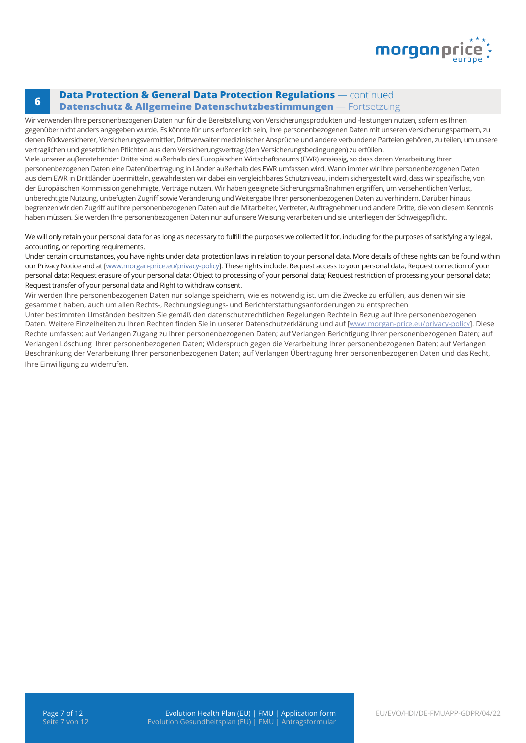

### **<sup>6</sup> Data Protection & General Data Protection Regulations** — continued **Datenschutz & Allgemeine Datenschutzbestimmungen** — Fortsetzung

Wir verwenden Ihre personenbezogenen Daten nur für die Bereitstellung von Versicherungsprodukten und -leistungen nutzen, sofern es Ihnen gegenüber nicht anders angegeben wurde. Es könnte für uns erforderlich sein, Ihre personenbezogenen Daten mit unseren Versicherungspartnern, zu denen Rückversicherer, Versicherungsvermittler, Drittverwalter medizinischer Ansprüche und andere verbundene Parteien gehören, zu teilen, um unsere vertraglichen und gesetzlichen Pflichten aus dem Versicherungsvertrag (den Versicherungsbedingungen) zu erfüllen.

Viele unserer auβenstehender Dritte sind außerhalb des Europäischen Wirtschaftsraums (EWR) ansässig, so dass deren Verarbeitung Ihrer personenbezogenen Daten eine Datenübertragung in Länder außerhalb des EWR umfassen wird. Wann immer wir Ihre personenbezogenen Daten aus dem EWR in Drittländer übermitteln, gewährleisten wir dabei ein vergleichbares Schutzniveau, indem sichergestellt wird, dass wir spezifische, von der Europäischen Kommission genehmigte, Verträge nutzen. Wir haben geeignete Sicherungsmaßnahmen ergriffen, um versehentlichen Verlust, unberechtigte Nutzung, unbefugten Zugriff sowie Veränderung und Weitergabe Ihrer personenbezogenen Daten zu verhindern. Darüber hinaus begrenzen wir den Zugriff auf Ihre personenbezogenen Daten auf die Mitarbeiter, Vertreter, Auftragnehmer und andere Dritte, die von diesem Kenntnis haben müssen. Sie werden Ihre personenbezogenen Daten nur auf unsere Weisung verarbeiten und sie unterliegen der Schweigepflicht.

We will only retain your personal data for as long as necessary to fulfill the purposes we collected it for, including for the purposes of satisfying any legal, accounting, or reporting requirements.

Under certain circumstances, you have rights under data protection laws in relation to your personal data. More details of these rights can be found within our Privacy Notice and at [\[www.morgan-price.eu/privacy-policy\]](http://www.morgan-price.com/privacy-policy). These rights include: Request access to your personal data; Request correction of your personal data; Request erasure of your personal data; Object to processing of your personal data; Request restriction of processing your personal data; Request transfer of your personal data and Right to withdraw consent.

Wir werden Ihre personenbezogenen Daten nur solange speichern, wie es notwendig ist, um die Zwecke zu erfüllen, aus denen wir sie gesammelt haben, auch um allen Rechts-, Rechnungslegungs- und Berichterstattungsanforderungen zu entsprechen.

Unter bestimmten Umständen besitzen Sie gemäß den datenschutzrechtlichen Regelungen Rechte in Bezug auf Ihre personenbezogenen Daten. Weitere Einzelheiten zu Ihren Rechten finden Sie in unserer Datenschutzerklärung und auf [[www.morgan-price.eu/privacy-policy](http://www.morgan-price.com/privacy-policy)]. Diese Rechte umfassen: auf Verlangen Zugang zu Ihrer personenbezogenen Daten; auf Verlangen Berichtigung Ihrer personenbezogenen Daten; auf Verlangen Löschung Ihrer personenbezogenen Daten; Widerspruch gegen die Verarbeitung Ihrer personenbezogenen Daten; auf Verlangen Beschränkung der Verarbeitung Ihrer personenbezogenen Daten; auf Verlangen Übertragung hrer personenbezogenen Daten und das Recht, Ihre Einwilligung zu widerrufen.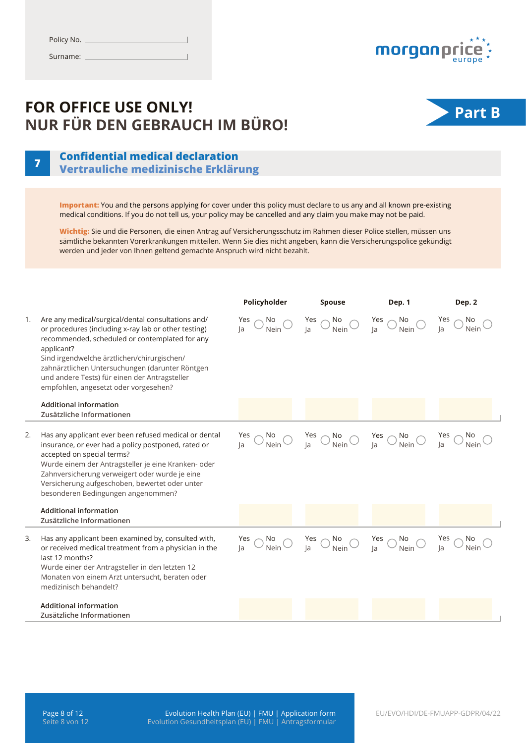

## **FOR OFFICE USE ONLY! NUR FÜR DEN GEBRAUCH IM BÜRO!**<br> **Part B**<br> **Part B**



## **<sup>7</sup> Confidential medical declaration Vertrauliche medizinische Erklärung**

**Important:** You and the persons applying for cover under this policy must declare to us any and all known pre-existing medical conditions. If you do not tell us, your policy may be cancelled and any claim you make may not be paid.

**Wichtig:** Sie und die Personen, die einen Antrag auf Versicherungsschutz im Rahmen dieser Police stellen, müssen uns sämtliche bekannten Vorerkrankungen mitteilen. Wenn Sie dies nicht angeben, kann die Versicherungspolice gekündigt werden und jeder von Ihnen geltend gemachte Anspruch wird nicht bezahlt.

|    |                                                                                                                                                                                                                                                                                                                                                                        | Policyholder                                                   | <b>Spouse</b>                                                                                                                                                                                                                                                                                                                  | Dep. 1                                             | Dep. 2                                          |
|----|------------------------------------------------------------------------------------------------------------------------------------------------------------------------------------------------------------------------------------------------------------------------------------------------------------------------------------------------------------------------|----------------------------------------------------------------|--------------------------------------------------------------------------------------------------------------------------------------------------------------------------------------------------------------------------------------------------------------------------------------------------------------------------------|----------------------------------------------------|-------------------------------------------------|
| 1. | Are any medical/surgical/dental consultations and/<br>or procedures (including x-ray lab or other testing)<br>recommended, scheduled or contemplated for any<br>applicant?<br>Sind irgendwelche ärztlichen/chirurgischen/<br>zahnärztlichen Untersuchungen (darunter Röntgen<br>und andere Tests) für einen der Antragsteller<br>empfohlen, angesetzt oder vorgesehen? | $\frac{Yes}{Ja}$ $\bigcirc$ $\frac{No}{Nein}$ $\bigcirc$<br> a | $\frac{Yes}{Ja}$ $\bigcirc$ $\frac{No}{Nein}$ $\bigcirc$                                                                                                                                                                                                                                                                       | Yes $\bigcirc$ No<br>Ja $\bigcirc$ Nein $\bigcirc$ | Yes $\bigcirc$ No<br>Ja $\bigcirc$ Neir<br>Nein |
|    | <b>Additional information</b><br>Zusätzliche Informationen                                                                                                                                                                                                                                                                                                             |                                                                |                                                                                                                                                                                                                                                                                                                                |                                                    |                                                 |
| 2. | Has any applicant ever been refused medical or dental<br>insurance, or ever had a policy postponed, rated or<br>accepted on special terms?<br>Wurde einem der Antragsteller je eine Kranken- oder<br>Zahnversicherung verweigert oder wurde je eine<br>Versicherung aufgeschoben, bewertet oder unter<br>besonderen Bedingungen angenommen?                            |                                                                | $\frac{\text{Yes}}{\text{Ja}} \bigcirc \frac{\text{No}}{\text{Nein}} \bigcirc \quad \frac{\text{Yes}}{\text{Ja}} \bigcirc \frac{\text{No}}{\text{Nein}} \bigcirc \quad \frac{\text{Yes}}{\text{Ja}} \bigcirc \frac{\text{No}}{\text{Nein}} \bigcirc \quad \frac{\text{Yes}}{\text{Ja}} \bigcirc \frac{\text{No}}{\text{Nein}}$ |                                                    |                                                 |
|    | <b>Additional information</b><br>Zusätzliche Informationen                                                                                                                                                                                                                                                                                                             |                                                                |                                                                                                                                                                                                                                                                                                                                |                                                    |                                                 |
| 3. | Has any applicant been examined by, consulted with,<br>or received medical treatment from a physician in the<br>last 12 months?<br>Wurde einer der Antragsteller in den letzten 12<br>Monaten von einem Arzt untersucht, beraten oder<br>medizinisch behandelt?                                                                                                        |                                                                | Yes $\bigcirc$ No $\bigcirc$ Yes $\bigcirc$ No $\bigcirc$ Yes $\bigcirc$ No $\bigcirc$ Yes $\bigcirc$ No $\bigcirc$ Yes $\bigcirc$ No $\bigcirc$ Yes $\bigcirc$ No $\bigcirc$ No $\bigcirc$ No $\bigcirc$ No $\bigcirc$ Nein                                                                                                   |                                                    |                                                 |
|    | <b>Additional information</b><br>Zusätzliche Informationen                                                                                                                                                                                                                                                                                                             |                                                                |                                                                                                                                                                                                                                                                                                                                |                                                    |                                                 |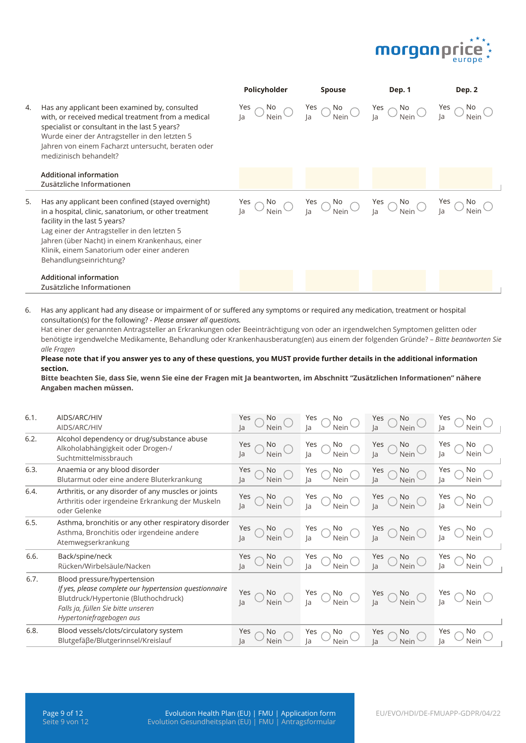

|    |                                                                                                                                                                                                                                                                                                                           | Policyholder                              | <b>Spouse</b>                                                                                                                                                                                                            | Dep. 1 | Dep. 2 |
|----|---------------------------------------------------------------------------------------------------------------------------------------------------------------------------------------------------------------------------------------------------------------------------------------------------------------------------|-------------------------------------------|--------------------------------------------------------------------------------------------------------------------------------------------------------------------------------------------------------------------------|--------|--------|
| 4. | Has any applicant been examined by, consulted<br>with, or received medical treatment from a medical<br>specialist or consultant in the last 5 years?<br>Wurde einer der Antragsteller in den letzten 5<br>Jahren von einem Facharzt untersucht, beraten oder<br>medizinisch behandelt?                                    | Yes<br>$\frac{N_0}{N_{\text{ein}}}$<br>la | $\frac{Yes}{la}$ $\bigcirc$ $\frac{No}{Nein}$ $\bigcirc$ $\frac{Yes}{la}$ $\bigcirc$ $\frac{No}{Nein}$ $\bigcirc$                                                                                                        |        | No.    |
|    | <b>Additional information</b><br>Zusätzliche Informationen                                                                                                                                                                                                                                                                |                                           |                                                                                                                                                                                                                          |        |        |
| 5. | Has any applicant been confined (stayed overnight)<br>in a hospital, clinic, sanatorium, or other treatment<br>facility in the last 5 years?<br>Lag einer der Antragsteller in den letzten 5<br>Jahren (über Nacht) in einem Krankenhaus, einer<br>Klinik, einem Sanatorium oder einer anderen<br>Behandlungseinrichtung? |                                           | $\frac{Yes}{Ia}$ $\bigcirc$ $\frac{No}{Nein}$ $\bigcirc$ $\frac{Yes}{Ia}$ $\bigcirc$ $\frac{No}{Nein}$ $\bigcirc$ $\frac{Yes}{Ia}$ $\bigcirc$ $\frac{No}{Nein}$ $\bigcirc$ $\frac{Yes}{Ia}$ $\bigcirc$ $\frac{No}{Nein}$ |        |        |
|    | <b>Additional information</b><br>Zusätzliche Informationen                                                                                                                                                                                                                                                                |                                           |                                                                                                                                                                                                                          |        |        |

6. Has any applicant had any disease or impairment of or suffered any symptoms or required any medication, treatment or hospital consultation(s) for the following? *- Please answer all questions.* 

Hat einer der genannten Antragsteller an Erkrankungen oder Beeinträchtigung von oder an irgendwelchen Symptomen gelitten oder benötigte irgendwelche Medikamente, Behandlung oder Krankenhausberatung(en) aus einem der folgenden Gründe? – *Bitte beantworten Sie alle Fragen*

**Please note that if you answer yes to any of these questions, you MUST provide further details in the additional information section.**

**Bitte beachten Sie, dass Sie, wenn Sie eine der Fragen mit Ja beantworten, im Abschnitt "Zusätzlichen Informationen" nähere Angaben machen müssen.**

| 6.1. | AIDS/ARC/HIV<br>AIDS/ARC/HIV                                                                                                                                                                    | No<br>Yes<br>la<br>Nein        | Yes<br>No<br>Nein<br>la                    | Yes<br>No.<br> a <br>Nein       | Yes<br>la<br>Nein        |
|------|-------------------------------------------------------------------------------------------------------------------------------------------------------------------------------------------------|--------------------------------|--------------------------------------------|---------------------------------|--------------------------|
| 6.2. | Alcohol dependency or drug/substance abuse<br>Alkoholabhängigkeit oder Drogen-/<br>Suchtmittelmissbrauch                                                                                        | Yes<br>No<br> a <br>Nein       | Yes<br>No<br>Nein<br>la                    | Yes<br>No<br> a <br>Nein        | Yes<br>No<br> a <br>Nein |
| 6.3. | Anaemia or any blood disorder<br>Blutarmut oder eine andere Bluterkrankung                                                                                                                      | Yes<br>No<br><b>Nein</b><br>la | No<br>Yes<br>Nein<br> a                    | Yes<br>No<br>la<br>Nein         | Yes<br>No<br>Ja<br>Nein  |
| 6.4. | Arthritis, or any disorder of any muscles or joints<br>Arthritis oder irgendeine Erkrankung der Muskeln<br>oder Gelenke                                                                         | Yes<br>No<br>Nein<br>la        | No<br>Yes<br>Nein<br>la                    | Yes $\sim$<br>No.<br>la<br>Nein | Yes<br>No<br>la<br>Nein  |
| 6.5. | Asthma, bronchitis or any other respiratory disorder<br>Asthma, Bronchitis oder irgendeine andere<br>Atemwegserkrankung                                                                         | Yes<br>No.<br>Nein<br>la       | No<br>Yes<br>Nein<br>la                    | Yes<br>No<br>la<br>Nein         | Yes<br>No<br>la<br>Nein  |
| 6.6. | Back/spine/neck<br>Rücken/Wirbelsäule/Nacken                                                                                                                                                    | Yes<br>No.<br>Nein<br>la       | No<br>Yes<br>Nein<br>la                    | Yes<br>No<br>$l$ a<br>Nein      | Yes<br>No<br> a <br>Nein |
| 6.7. | Blood pressure/hypertension<br>If yes, please complete our hypertension questionnaire<br>Blutdruck/Hypertonie (Bluthochdruck)<br>Falls ja, füllen Sie bitte unseren<br>Hypertoniefragebogen aus | Yes<br>No.<br>Nein<br>la       | No<br>Yes<br>$\overline{\mathcal{M}}$ Nein | Yes $\bigcirc$ la<br>No         | Nein                     |
| 6.8. | Blood vessels/clots/circulatory system<br>Blutgefäße/Blutgerinnsel/Kreislauf                                                                                                                    | Yes<br>No<br>Nein<br>la        | No<br>Yes<br>la<br>Nein                    | Yes<br>No.<br> a <br>Nein       | Yes<br>No<br>la<br>Nein  |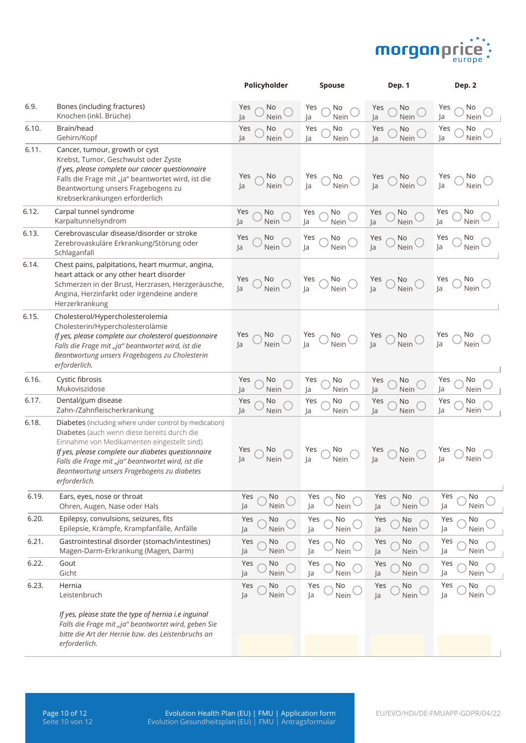

|       |                                                                                                                                                                                                                                                                                                                                  | Policyholder                     | Spouse                                  | Dep. 1                         | Dep. 2                   |
|-------|----------------------------------------------------------------------------------------------------------------------------------------------------------------------------------------------------------------------------------------------------------------------------------------------------------------------------------|----------------------------------|-----------------------------------------|--------------------------------|--------------------------|
| 6.9.  | Bones (including fractures)<br>Knochen (inkl. Brüche)                                                                                                                                                                                                                                                                            | Yes<br>No<br>Ja<br>Nein          | No<br>Yes<br>Nein<br>Ja                 | No<br>Yes<br>Nein<br>Ja        | Yes<br>No<br>Ja<br>Nein  |
| 6.10. | Brain/head<br>Gehirn/Kopf                                                                                                                                                                                                                                                                                                        | Yes<br>No<br>Ja<br>Nein          | Yes<br>No<br>Nein<br>Ja                 | No<br>Yes<br>Nein<br>Ja        | Yes<br>No<br>Nein<br>Ja  |
| 6.11. | Cancer, tumour, growth or cyst<br>Krebst, Tumor, Geschwulst oder Zyste<br>If yes, please complete our cancer questionnaire<br>Falls die Frage mit "ja" beantwortet wird, ist die<br>Beantwortung unsers Fragebogens zu<br>Krebserkrankungen erforderlich                                                                         | Yes<br>No.<br> a <br>Nein        | Yes<br>No<br>Nein<br>Ja                 | Yes<br>No<br>Nein<br> a        | Yes<br>No.<br>Nein<br>Ja |
| 6.12. | Carpal tunnel syndrome<br>Karpaltunnelsyndrom                                                                                                                                                                                                                                                                                    | Yes<br>No<br>Nein<br>Ja          | Yes<br>No<br>Ja<br>Nein                 | No<br>Yes<br>Nein<br>Ja        | Yes<br>No<br>Nein<br>Ja  |
| 6.13. | Cerebrovascular disease/disorder or stroke<br>Zerebrovaskuläre Erkrankung/Störung oder<br>Schlaganfall                                                                                                                                                                                                                           | No<br>Yes<br>Nein<br>Ja          | No<br>Yes<br>Ja<br>Nein                 | Yes<br>No<br>Nein<br>Ja        | Yes<br>No<br>Ja<br>Nein  |
| 6.14. | Chest pains, palpitations, heart murmur, angina,<br>heart attack or any other heart disorder<br>Schmerzen in der Brust, Herzrasen, Herzgeräusche,<br>Angina, Herzinfarkt oder irgendeine andere<br>Herzerkrankung                                                                                                                | Yes<br>No.<br>la<br>Nein         | Yes<br>No<br> a <br>Nein                | No<br>Yes<br>Nein<br> a        | Yes<br>No<br>Ja<br>Nein  |
| 6.15. | Cholesterol/Hypercholesterolemia<br>Cholesterin/Hypercholesterolämie<br>If yes, please complete our cholesterol questionnaire<br>Falls die Frage mit "ja" beantwortet wird, ist die<br>Beantwortung unsers Fragebogens zu Cholesterin<br>erforderlich.                                                                           | Yes<br>No<br>Nein<br> a          | Yes $\bigcirc$ No<br>Ja $\bigcirc$ Nein | No<br>Nein<br>Yes<br>Ja        | Yes<br>Nein<br> a        |
| 6.16. | Cystic fibrosis<br>Mukoviszidose                                                                                                                                                                                                                                                                                                 | Yes<br>No<br>Ja<br>Nein          | No<br>Yes<br>Nein<br>Ja                 | Yes<br>No<br>Ja<br>Nein        | Yes<br>No<br>Ja<br>Nein  |
| 6.17. | Dental/gum disease<br>Zahn-/Zahnfleischerkrankung                                                                                                                                                                                                                                                                                | Yes<br>No<br>Ja<br>Nein          | No<br>Yes<br>Nein<br>Ja                 | Yes<br>No<br>Ja<br>Nein        | Yes<br>No<br>Ja<br>Nein  |
| 6.18. | Diabetes (including where under control by medication)<br>Diabetes (auch wenn diese bereits durch die<br>Einnahme von Medikamenten eingestellt sind)<br>If yes, please complete our diabetes questionnaire<br>Falls die Frage mit "ja" beantwortet wird, ist die<br>Beantwortung unsers Fragebogens zu diabetes<br>erforderlich. | Yes<br>No.<br> a <br><b>Nein</b> | Yes<br>No<br>Nein<br>la                 | Yes<br><b>No</b><br>la<br>Nein | No.<br>Yes<br>la<br>Nein |
| 6.19. | Ears, eyes, nose or throat<br>Ohren, Augen, Nase oder Hals                                                                                                                                                                                                                                                                       | Yes<br>No<br>Nein<br>Ja          | Yes<br>No<br>Ja<br>Nein                 | Yes<br>No<br>Ja<br>Nein        | No<br>Yes<br>Ja<br>Nein  |
| 6.20. | Epilepsy, convulsions, seizures, fits<br>Epilepsie, Krämpfe, Krampfanfälle, Anfälle                                                                                                                                                                                                                                              | Yes<br>No<br>Nein<br>Ja          | Yes<br>No<br>Nein<br>Ja                 | Yes<br>No<br>Ja<br>Nein        | Yes<br>No<br>Ja<br>Nein  |
| 6.21. | Gastrointestinal disorder (stomach/intestines)<br>Magen-Darm-Erkrankung (Magen, Darm)                                                                                                                                                                                                                                            | Yes<br>No<br>Nein<br>Ja          | Yes<br>No<br>Nein<br>Ja                 | Yes<br>No<br>Ja<br>Nein        | Yes<br>No<br>Nein<br>Ja  |
| 6.22. | Gout<br>Gicht                                                                                                                                                                                                                                                                                                                    | Yes<br>No<br>Ja<br>Nein          | Yes<br>No<br>Nein<br>Ja                 | Yes<br>No<br>Nein<br>Ja        | Yes<br>No<br>Nein<br>Ja  |
| 6.23. | Hernia<br>Leistenbruch                                                                                                                                                                                                                                                                                                           | Yes<br>No<br>Nein<br>Ja          | Yes<br>No<br>Ja<br>Nein                 | Yes<br>No<br>Ja<br>Nein        | Yes<br>No<br>Ja<br>Nein  |
|       | If yes, please state the type of hernia i.e inguinal<br>Falls die Frage mit "ja" beantwortet wird, geben Sie<br>bitte die Art der Hernie bzw. des Leistenbruchs an<br>erforderlich.                                                                                                                                              |                                  |                                         |                                |                          |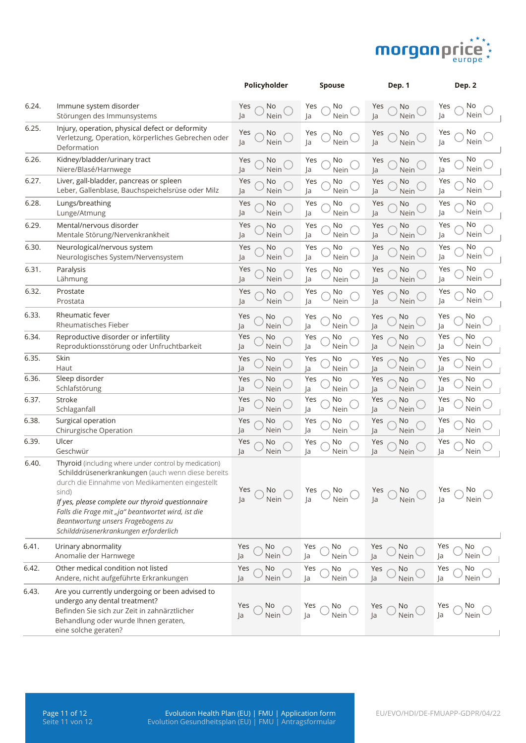

|       |                                                                                                                                                                                                                                                                                                                                                                  | Policyholder            | <b>Spouse</b>           | Dep. 1                         | Dep. 2                  |
|-------|------------------------------------------------------------------------------------------------------------------------------------------------------------------------------------------------------------------------------------------------------------------------------------------------------------------------------------------------------------------|-------------------------|-------------------------|--------------------------------|-------------------------|
| 6.24. | Immune system disorder<br>Störungen des Immunsystems                                                                                                                                                                                                                                                                                                             | Yes<br>No<br>Nein<br>Ja | Yes<br>No<br>Ja<br>Nein | Yes<br>No<br>Nein<br>Ja        | Yes<br>No<br>Nein<br>Ja |
| 6.25. | Injury, operation, physical defect or deformity<br>Verletzung, Operation, körperliches Gebrechen oder<br>Deformation                                                                                                                                                                                                                                             | Yes<br>No<br>Nein<br>Ja | Yes<br>No<br>Ja<br>Nein | Yes<br>No<br>Ja<br>Nein        | No<br>Yes<br>Nein<br>Ja |
| 6.26. | Kidney/bladder/urinary tract<br>Niere/Blasé/Harnwege                                                                                                                                                                                                                                                                                                             | Yes<br>No<br>Nein<br>Ja | No<br>Yes<br>Nein<br>Ja | Yes<br>No<br>Ja<br>Nein        | No<br>Yes<br>Nein<br>Ja |
| 6.27. | Liver, gall-bladder, pancreas or spleen<br>Leber, Gallenblase, Bauchspeichelsrüse oder Milz                                                                                                                                                                                                                                                                      | Yes<br>No<br>Nein<br>Ja | No<br>Yes<br>Nein<br>Ja | Yes<br>No<br>Ja<br>Nein        | No<br>Yes<br>Nein<br>Ja |
| 6.28. | Lungs/breathing<br>Lunge/Atmung                                                                                                                                                                                                                                                                                                                                  | Yes<br>No<br>Ja<br>Nein | Yes<br>No<br>Nein<br>Ja | Yes<br>No<br>Nein<br>Ja        | No<br>Yes<br>Nein<br>Ja |
| 6.29. | Mental/nervous disorder<br>Mentale Störung/Nervenkrankheit                                                                                                                                                                                                                                                                                                       | Yes<br>No<br>Ja<br>Nein | Yes<br>No<br>Ja<br>Nein | Yes<br>No<br>Ja<br>Nein        | No<br>Yes<br>Nein<br>Ja |
| 6.30. | Neurological/nervous system<br>Neurologisches System/Nervensystem                                                                                                                                                                                                                                                                                                | Yes<br>No<br>Ja<br>Nein | Yes<br>No<br>Nein<br>Ja | Yes<br>No<br>Ja<br>Nein        | Yes<br>No<br>Ja<br>Nein |
| 6.31. | Paralysis<br>Lähmung                                                                                                                                                                                                                                                                                                                                             | Yes<br>No<br>Ja<br>Nein | Yes<br>No<br>Nein<br>Ja | Yes<br>No<br>Nein<br>Ja        | No<br>Yes<br>Nein<br>Ja |
| 6.32. | Prostate<br>Prostata                                                                                                                                                                                                                                                                                                                                             | Yes<br>No<br>Ja<br>Nein | Yes<br>No<br>Ja<br>Nein | Yes<br>No<br>Ja<br>Nein        | Yes<br>No<br>Nein<br>Ja |
| 6.33. | Rheumatic fever<br>Rheumatisches Fieber                                                                                                                                                                                                                                                                                                                          | No<br>Yes<br>Ja<br>Nein | Yes<br>No<br>Nein<br>Ja | Yes<br>No<br><b>Nein</b><br>Ja | Yes<br>No<br>Ja<br>Nein |
| 6.34. | Reproductive disorder or infertility<br>Reproduktionsstörung oder Unfruchtbarkeit                                                                                                                                                                                                                                                                                | Yes<br>No<br>Ja<br>Nein | Yes<br>No<br>Nein<br>Ja | Yes<br>No<br>Ja<br>Nein        | Yes<br>No<br>Ja<br>Nein |
| 6.35. | Skin<br>Haut                                                                                                                                                                                                                                                                                                                                                     | Yes<br>No<br>Ja<br>Nein | Yes<br>No<br>Nein<br>Ja | No<br>Yes<br>Ja<br>Nein        | Yes<br>No<br>Ja<br>Nein |
| 6.36. | Sleep disorder<br>Schlafstörung                                                                                                                                                                                                                                                                                                                                  | Yes<br>No<br>Ja<br>Nein | Yes<br>No<br>Nein<br>Ja | Yes<br>No<br>Nein<br>Ja        | Yes<br>No<br>Ja<br>Nein |
| 6.37. | Stroke<br>Schlaganfall                                                                                                                                                                                                                                                                                                                                           | Yes<br>No<br>Ja<br>Nein | Yes<br>No<br>Nein<br>Ja | No<br>Yes<br>Nein<br>Ja        | Yes<br>No<br>Ja<br>Nein |
| 6.38. | Surgical operation<br>Chirurgische Operation                                                                                                                                                                                                                                                                                                                     | Yes<br>No<br>Ja<br>Nein | Yes<br>No<br>Nein<br>Ja | Yes<br>No<br>Nein<br>Ja        | Yes<br>No<br>Ja<br>Nein |
| 6.39. | Ulcer<br>Geschwür                                                                                                                                                                                                                                                                                                                                                | Yes<br>No<br>Ja<br>Nein | Yes<br>No<br>Nein<br>Ja | Yes<br>No<br>Nein<br>Ja        | Yes<br>No<br>Ja<br>Nein |
| 6.40. | Thyroid (including where under control by medication)<br>Schilddrüsenerkrankungen (auch wenn diese bereits<br>durch die Einnahme von Medikamenten eingestellt<br>sind)<br>If yes, please complete our thyroid questionnaire<br>Falls die Frage mit "ja" beantwortet wird, ist die<br>Beantwortung unsers Fragebogens zu<br>Schilddrüsenerkrankungen erforderlich | No<br>Yes<br>Nein<br>Ja | Yes<br>No<br>Ja<br>Nein | Yes<br>No.<br> a <br>Nein      | Yes<br>N0<br>Ja<br>Nein |
| 6.41. | Urinary abnormality<br>Anomalie der Harnwege                                                                                                                                                                                                                                                                                                                     | Yes<br>No<br>Nein<br>Ja | Yes<br>No<br>Nein<br>Ja | Yes<br>No<br>Ja<br>Nein        | No<br>Yes<br>Ja<br>Nein |
| 6.42. | Other medical condition not listed<br>Andere, nicht aufgeführte Erkrankungen                                                                                                                                                                                                                                                                                     | No<br>Yes<br>Nein<br>Ja | Yes<br>No<br>Ja<br>Nein | Yes<br>No<br>Ja<br>Nein        | Yes<br>No<br>Nein<br>Ja |
| 6.43. | Are you currently undergoing or been advised to<br>undergo any dental treatment?<br>Befinden Sie sich zur Zeit in zahnärztlicher<br>Behandlung oder wurde Ihnen geraten,<br>eine solche geraten?                                                                                                                                                                 | No<br>Yes<br>Nein<br>Ja | Yes<br>No<br>Ja<br>Nein | Yes<br>No<br>Ja<br>Nein        | Yes<br>No<br>Ja<br>Nein |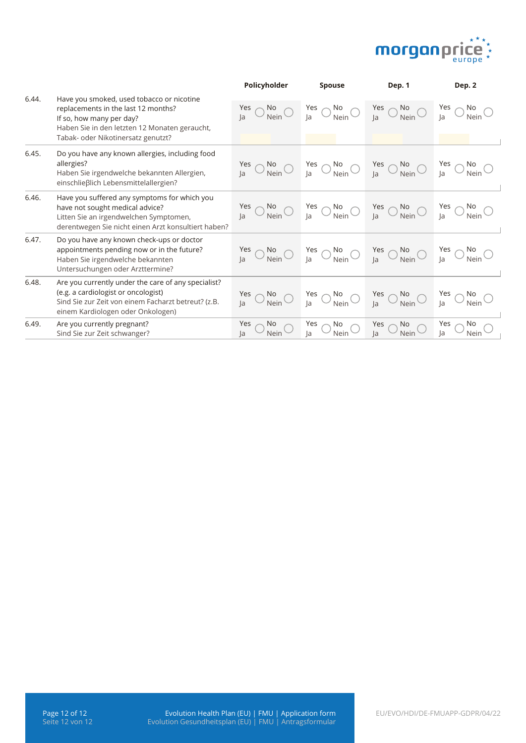

|       |                                                                                                                                                                                                     | Policyholder                     | <b>Spouse</b>                                            | Dep. 1                                                                                                                                                          | Dep. 2                            |
|-------|-----------------------------------------------------------------------------------------------------------------------------------------------------------------------------------------------------|----------------------------------|----------------------------------------------------------|-----------------------------------------------------------------------------------------------------------------------------------------------------------------|-----------------------------------|
| 6.44. | Have you smoked, used tobacco or nicotine<br>replacements in the last 12 months?<br>If so, how many per day?<br>Haben Sie in den letzten 12 Monaten geraucht,<br>Tabak- oder Nikotinersatz genutzt? | Yes<br>No<br>Nein<br>la          | $\frac{Yes}{Ja}$ $\bigcirc$ $\frac{No}{Nein}$ $\bigcirc$ | Yes $\bigcirc$ No<br>Ja $\bigcirc$ Nein                                                                                                                         | Yes<br>No<br>Nein                 |
| 6.45. | Do you have any known allergies, including food<br>allergies?<br>Haben Sie irgendwelche bekannten Allergien,<br>einschließlich Lebensmittelallergien?                                               | Yes<br>No<br>Nein                |                                                          | $\frac{y_{\text{es}}}{y_a}$ $\bigcirc$ $\frac{N_o}{N_{\text{ein}}}$ $\bigcirc$ $\frac{y_{\text{es}}}{y_a}$ $\bigcirc$ $\frac{N_o}{N_{\text{ein}}}$ $\bigcirc$   |                                   |
| 6.46. | Have you suffered any symptoms for which you<br>have not sought medical advice?<br>Litten Sie an irgendwelchen Symptomen,<br>derentwegen Sie nicht einen Arzt konsultiert haben?                    | Yes                              |                                                          | $\frac{Yes}{Ja}$ $\bigcirc$ $\frac{No}{Nein}$ $\bigcirc$ $\frac{Yes}{Ja}$ $\bigcirc$ $\frac{No}{Nein}$ $\bigcirc$ $\frac{Yes}{Na}$ $\bigcirc$ $\frac{No}{Nein}$ |                                   |
| 6.47. | Do you have any known check-ups or doctor<br>appointments pending now or in the future?<br>Haben Sie irgendwelche bekannten<br>Untersuchungen oder Arzttermine?                                     | $\bigcirc$ No<br>Nein $\bigcirc$ |                                                          | $\frac{Yes}{Ja}$ $\bigcirc$ $\frac{No}{Nein}$ $\bigcirc$ $\frac{Yes}{Ja}$ $\bigcirc$ $\frac{No}{Nein}$ $\bigcirc$ $\frac{Yes}{Ja}$ $\bigcirc$ $\frac{No}{Nein}$ |                                   |
| 6.48. | Are you currently under the care of any specialist?<br>(e.g. a cardiologist or oncologist)<br>Sind Sie zur Zeit von einem Facharzt betreut? (z.B.<br>einem Kardiologen oder Onkologen)              | Yes<br>No<br>Nein                | Yes $\bigcirc$ No<br>Ja $\bigcirc$ Nein $\bigcirc$       | $\frac{Yes}{Ja}$ O No<br>Nein O                                                                                                                                 | Nein                              |
| 6.49. | Are you currently pregnant?<br>Sind Sie zur Zeit schwanger?                                                                                                                                         | No<br>Yes<br>Nein<br>Ja          | No<br>Nein<br>Yes $\bigcirc$ Ja                          | Yes $\bigcirc$ Ja<br>No<br>Nein                                                                                                                                 | No<br>Yes $\bigcap$<br>Ja<br>Nein |